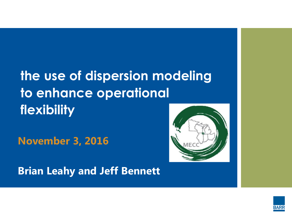## **the use of dispersion modeling to enhance operational flexibility**

**November 3, 2016**

**Brian Leahy and Jeff Bennett**



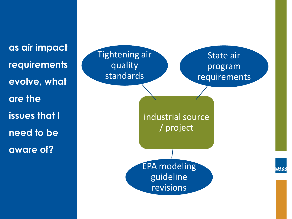**as air impact requirements evolve, what are the issues that I need to be aware of?**

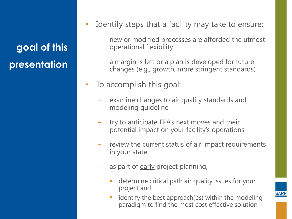**goal of this presentation**

- Identify steps that a facility may take to ensure:
	- new or modified processes are afforded the utmost operational flexibility
	- a margin is left or a plan is developed for future changes (e.g., growth, more stringent standards)
- To accomplish this goal:
	- examine changes to air quality standards and modeling guideline
	- − try to anticipate EPA's next moves and their potential impact on your facility's operations
	- − review the current status of air impact requirements in your state
	- as part of early project planning,
		- determine critical path air quality issues for your project and
		- identify the best approach(es) within the modeling paradigm to find the most cost effective solution

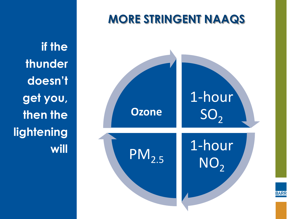**if the thunder doesn't get you, then the lightening will**



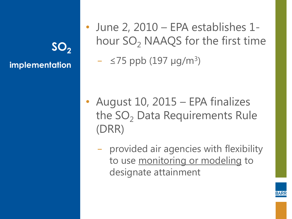**SO<sup>2</sup> implementation** • June 2, 2010 – EPA establishes 1 hour  $SO<sub>2</sub>$  NAAQS for the first time

− ≤75 ppb (197 µg/m<sup>3</sup> )

- August 10, 2015 EPA finalizes the  $SO<sub>2</sub>$  Data Requirements Rule (DRR)
	- − provided air agencies with flexibility to use monitoring or modeling to designate attainment

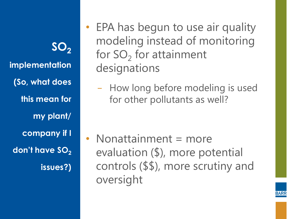**SO<sup>2</sup> implementation (So, what does this mean for my plant/ company if I don't have SO<sup>2</sup> issues?)**

- EPA has begun to use air quality modeling instead of monitoring for  $SO_2$  for attainment designations
	- − How long before modeling is used for other pollutants as well?

• Nonattainment = more evaluation (\$), more potential controls (\$\$), more scrutiny and oversight

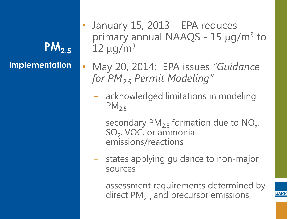**PM2.5 implementation**

- January 15, 2013 EPA reduces primary annual NAAQS -  $15 \mu g/m^3$  to  $12 \mu q/m^3$
- May 20, 2014: EPA issues *"Guidance for PM2.5 Permit Modeling"*
	- − acknowledged limitations in modeling  $PM_{2.5}$
	- − secondary PM<sub>2.5</sub> formation due to NO<sub>x</sub>,  $SO_2$ , VOC, or ammonia emissions/reactions
	- − states applying guidance to non-major sources
	- − assessment requirements determined by direct  $PM_{2,5}$  and precursor emissions

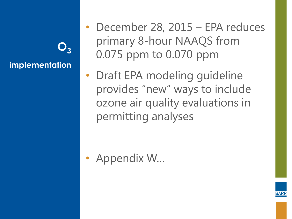**O<sup>3</sup> implementation**

- December 28, 2015 EPA reduces primary 8-hour NAAQS from 0.075 ppm to 0.070 ppm
- Draft EPA modeling guideline provides "new" ways to include ozone air quality evaluations in permitting analyses

• Appendix W…

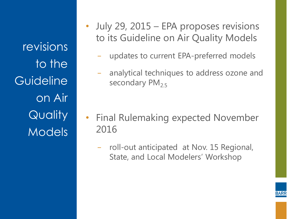revisions to the **Guideline** on Air **Quality Models** 

- July 29, 2015 EPA proposes revisions to its Guideline on Air Quality Models
	- − updates to current EPA-preferred models
	- − analytical techniques to address ozone and secondary  $PM_{2.5}$

- Final Rulemaking expected November 2016
	- − roll-out anticipated at Nov. 15 Regional, State, and Local Modelers' Workshop

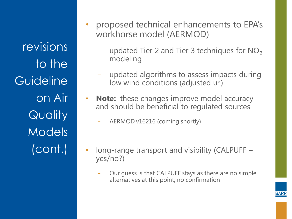revisions to the **Guideline** on Air **Quality** Models (cont.)

- proposed technical enhancements to EPA's workhorse model (AERMOD)
	- updated Tier 2 and Tier 3 techniques for NO<sub>2</sub> modeling
	- − updated algorithms to assess impacts during low wind conditions (adjusted u\*)
- **Note:** these changes improve model accuracy and should be beneficial to regulated sources
	- − AERMOD v16216 (coming shortly)
- long-range transport and visibility (CALPUFF yes/no?)
	- Our guess is that CALPUFF stays as there are no simple alternatives at this point; no confirmation

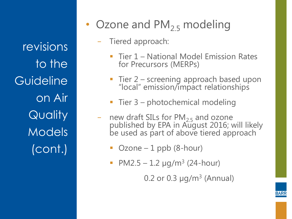revisions to the **Guideline** on Air **Quality** Models (cont.)

- Ozone and  $PM_{2,5}$  modeling
	- − Tiered approach:
		- Tier 1 National Model Emission Rates for Precursors (MERPs)
		- Tier 2 screening approach based upon "local" emission/impact relationships
		- Tier  $3$  photochemical modeling
	- − new draft SILs for PM<sub>2.5</sub> and ozone published by EPA in August 2016; will likely be used as part of above tiered approach
		- Ozone 1 ppb (8-hour)
		- PM2.5  $-$  1.2  $\mu$ g/m<sup>3</sup> (24-hour)

0.2 or 0.3  $\mu$ g/m<sup>3</sup> (Annual)

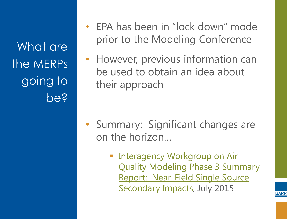What are the MERPs going to be?

- EPA has been in "lock down" mode prior to the Modeling Conference
- However, previous information can be used to obtain an idea about their approach

- Summary: Significant changes are on the horizon…
	- **Interagency Workgroup on Air** [Quality Modeling Phase 3 Summary](http://www3.epa.gov/ttn/scram/11thmodconf/IWAQM3_NFI_Report-07152015.pdf)  [Report: Near-Field Single Source](http://www3.epa.gov/ttn/scram/11thmodconf/IWAQM3_NFI_Report-07152015.pdf)  [Secondary Impacts](http://www3.epa.gov/ttn/scram/11thmodconf/IWAQM3_NFI_Report-07152015.pdf), July 2015

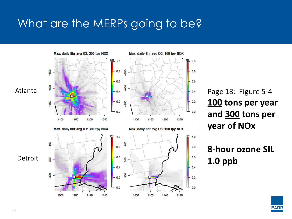#### What are the MERPs going to be?



Page 18: Figure 5-4 100 tons per year and 300 tons per year of NOx

8-hour ozone SIL  $1.0$  ppb

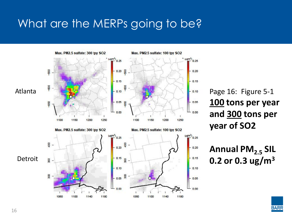#### What are the MERPs going to be?



Page 16: Figure 5-1 **100 tons per year and 300 tons per year of SO2** 

**Annual PM2.5 SIL 0.2 or 0.3 ug/m3**

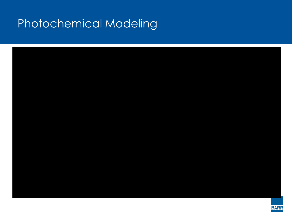#### Photochemical Modeling

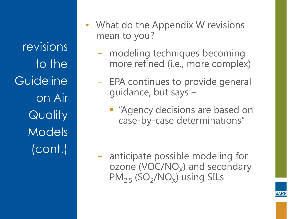revisions to the **Guideline** on Air **Quality** Models (cont.)

- What do the Appendix W revisions mean to you?
	- − modeling techniques becoming more refined (i.e., more complex)
	- − EPA continues to provide general guidance, but says –
		- **E** "Agency decisions are based on case-by-case determinations"

− anticipate possible modeling for ozone (VOC/NO<sub>x</sub>) and secondary  $PM_{2.5}$  (SO<sub>2</sub>/NO<sub>X</sub>) using SILs

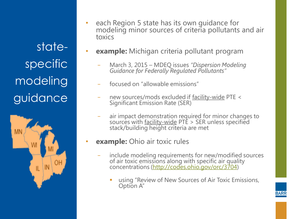statespecific modeling guidance



- each Region 5 state has its own guidance for modeling minor sources of criteria pollutants and air toxics
- **example:** Michigan criteria pollutant program
	- − March 3, 2015 MDEQ issues *"Dispersion Modeling Guidance for Federally Regulated Pollutants"*
	- − focused on "allowable emissions"
	- new sources/mods excluded if facility-wide PTE < Significant Emission Rate (SER)
	- air impact demonstration required for minor changes to sources with facility-wide PTE > SER unless specified stack/building height criteria are met
- **example:** Ohio air toxic rules
	- include modeling requirements for new/modified sources of air toxic emissions along with specific air quality concentrations [\(http://codes.ohio.gov/orc/3704](http://codes.ohio.gov/orc/3704))
		- using "Review of New Sources of Air Toxic Emissions, Option A"

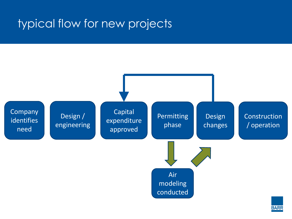#### typical flow for new projects



**BARR**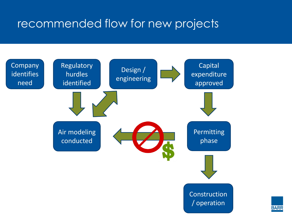#### recommended flow for new projects



**BARR**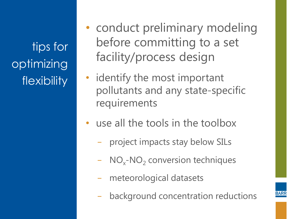tips for optimizing flexibility

- conduct preliminary modeling before committing to a set facility/process design
- identify the most important pollutants and any state-specific requirements
- use all the tools in the toolbox
	- project impacts stay below SILs
	- − NO<sub>x</sub>-NO<sub>2</sub> conversion techniques
	- − meteorological datasets
	- background concentration reductions

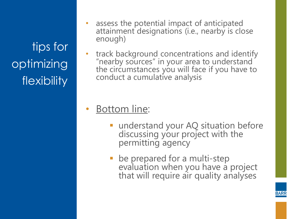tips for optimizing flexibility

- assess the potential impact of anticipated attainment designations (i.e., nearby is close enough)
- track background concentrations and identify "nearby sources" in your area to understand the circumstances you will face if you have to conduct a cumulative analysis

#### **Bottom line:**

- understand your AQ situation before discussing your project with the permitting agency
- be prepared for a multi-step evaluation when you have a project that will require air quality analyses